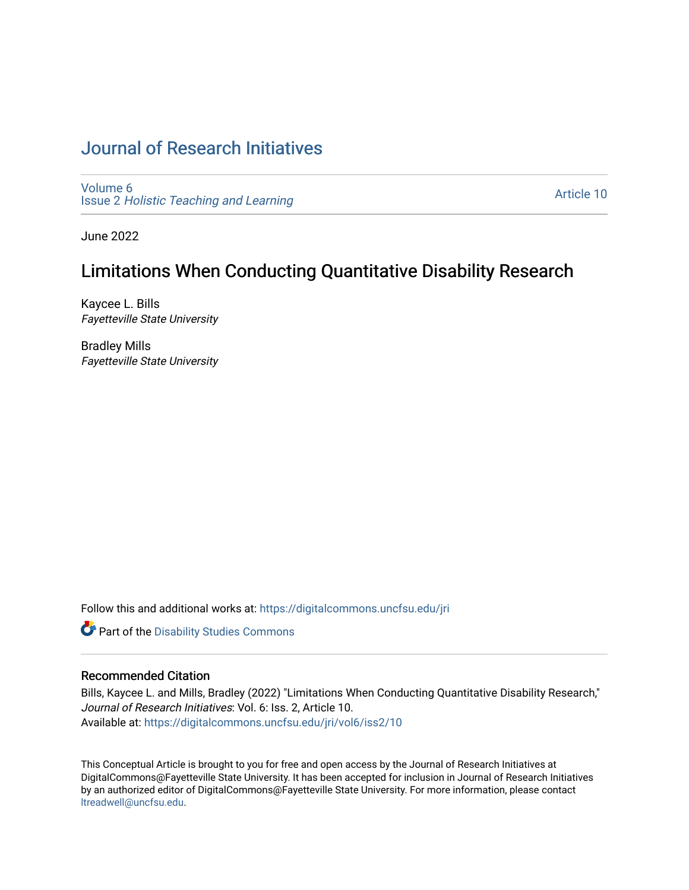# [Journal of Research Initiatives](https://digitalcommons.uncfsu.edu/jri)

[Volume 6](https://digitalcommons.uncfsu.edu/jri/vol6) Issue 2 [Holistic Teaching and Learning](https://digitalcommons.uncfsu.edu/jri/vol6/iss2)

[Article 10](https://digitalcommons.uncfsu.edu/jri/vol6/iss2/10) 

June 2022

# Limitations When Conducting Quantitative Disability Research

Kaycee L. Bills Fayetteville State University

Bradley Mills Fayetteville State University

Follow this and additional works at: [https://digitalcommons.uncfsu.edu/jri](https://digitalcommons.uncfsu.edu/jri?utm_source=digitalcommons.uncfsu.edu%2Fjri%2Fvol6%2Fiss2%2F10&utm_medium=PDF&utm_campaign=PDFCoverPages) 

Part of the [Disability Studies Commons](https://network.bepress.com/hgg/discipline/1417?utm_source=digitalcommons.uncfsu.edu%2Fjri%2Fvol6%2Fiss2%2F10&utm_medium=PDF&utm_campaign=PDFCoverPages) 

# Recommended Citation

Bills, Kaycee L. and Mills, Bradley (2022) "Limitations When Conducting Quantitative Disability Research," Journal of Research Initiatives: Vol. 6: Iss. 2, Article 10. Available at: [https://digitalcommons.uncfsu.edu/jri/vol6/iss2/10](https://digitalcommons.uncfsu.edu/jri/vol6/iss2/10?utm_source=digitalcommons.uncfsu.edu%2Fjri%2Fvol6%2Fiss2%2F10&utm_medium=PDF&utm_campaign=PDFCoverPages) 

This Conceptual Article is brought to you for free and open access by the Journal of Research Initiatives at DigitalCommons@Fayetteville State University. It has been accepted for inclusion in Journal of Research Initiatives by an authorized editor of DigitalCommons@Fayetteville State University. For more information, please contact [ltreadwell@uncfsu.edu](mailto:ltreadwell@uncfsu.edu).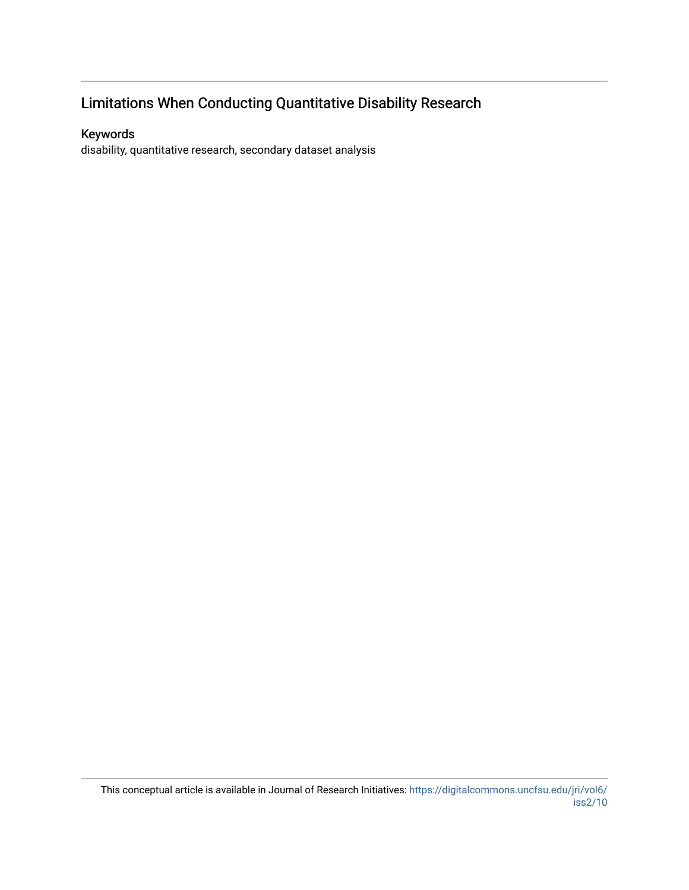# Limitations When Conducting Quantitative Disability Research

# Keywords

disability, quantitative research, secondary dataset analysis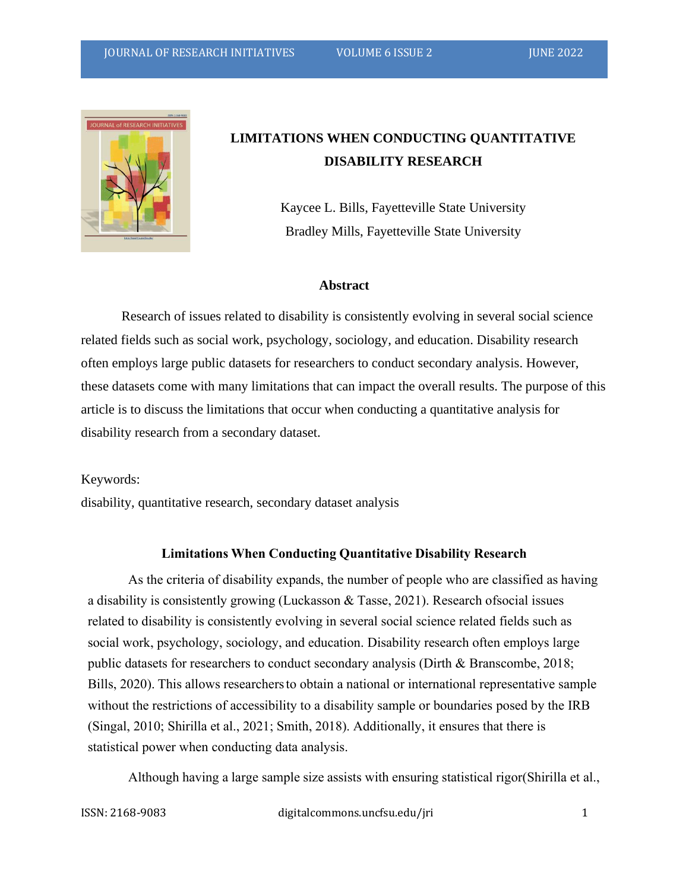

# **LIMITATIONS WHEN CONDUCTING QUANTITATIVE DISABILITY RESEARCH**

Kaycee L. Bills, Fayetteville State University Bradley Mills, Fayetteville State University

### **Abstract**

Research of issues related to disability is consistently evolving in several social science related fields such as social work, psychology, sociology, and education. Disability research often employs large public datasets for researchers to conduct secondary analysis. However, these datasets come with many limitations that can impact the overall results. The purpose of this article is to discuss the limitations that occur when conducting a quantitative analysis for disability research from a secondary dataset.

Keywords:

disability, quantitative research, secondary dataset analysis

# **Limitations When Conducting Quantitative Disability Research**

As the criteria of disability expands, the number of people who are classified as having a disability is consistently growing (Luckasson & Tasse, 2021). Research ofsocial issues related to disability is consistently evolving in several social science related fields such as social work, psychology, sociology, and education. Disability research often employs large public datasets for researchers to conduct secondary analysis (Dirth & Branscombe, 2018; Bills, 2020). This allows researchers to obtain a national or international representative sample without the restrictions of accessibility to a disability sample or boundaries posed by the IRB (Singal, 2010; Shirilla et al., 2021; Smith, 2018). Additionally, it ensures that there is statistical power when conducting data analysis.

Although having a large sample size assists with ensuring statistical rigor(Shirilla et al.,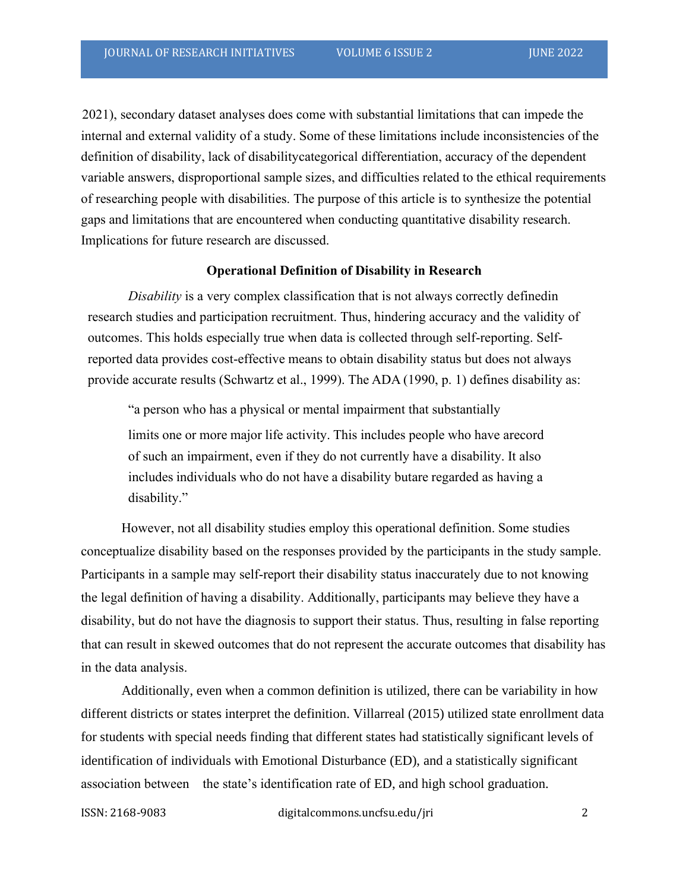2021), secondary dataset analyses does come with substantial limitations that can impede the internal and external validity of a study. Some of these limitations include inconsistencies of the definition of disability, lack of disabilitycategorical differentiation, accuracy of the dependent variable answers, disproportional sample sizes, and difficulties related to the ethical requirements of researching people with disabilities. The purpose of this article is to synthesize the potential gaps and limitations that are encountered when conducting quantitative disability research. Implications for future research are discussed.

#### **Operational Definition of Disability in Research**

*Disability* is a very complex classification that is not always correctly definedin research studies and participation recruitment. Thus, hindering accuracy and the validity of outcomes. This holds especially true when data is collected through self-reporting. Selfreported data provides cost-effective means to obtain disability status but does not always provide accurate results (Schwartz et al., 1999). The ADA (1990, p. 1) defines disability as:

"a person who has a physical or mental impairment that substantially limits one or more major life activity. This includes people who have arecord of such an impairment, even if they do not currently have a disability. It also includes individuals who do not have a disability butare regarded as having a disability."

However, not all disability studies employ this operational definition. Some studies conceptualize disability based on the responses provided by the participants in the study sample. Participants in a sample may self-report their disability status inaccurately due to not knowing the legal definition of having a disability. Additionally, participants may believe they have a disability, but do not have the diagnosis to support their status. Thus, resulting in false reporting that can result in skewed outcomes that do not represent the accurate outcomes that disability has in the data analysis.

Additionally, even when a common definition is utilized, there can be variability in how different districts or states interpret the definition. Villarreal (2015) utilized state enrollment data for students with special needs finding that different states had statistically significant levels of identification of individuals with Emotional Disturbance (ED), and a statistically significant association between the state's identification rate of ED, and high school graduation.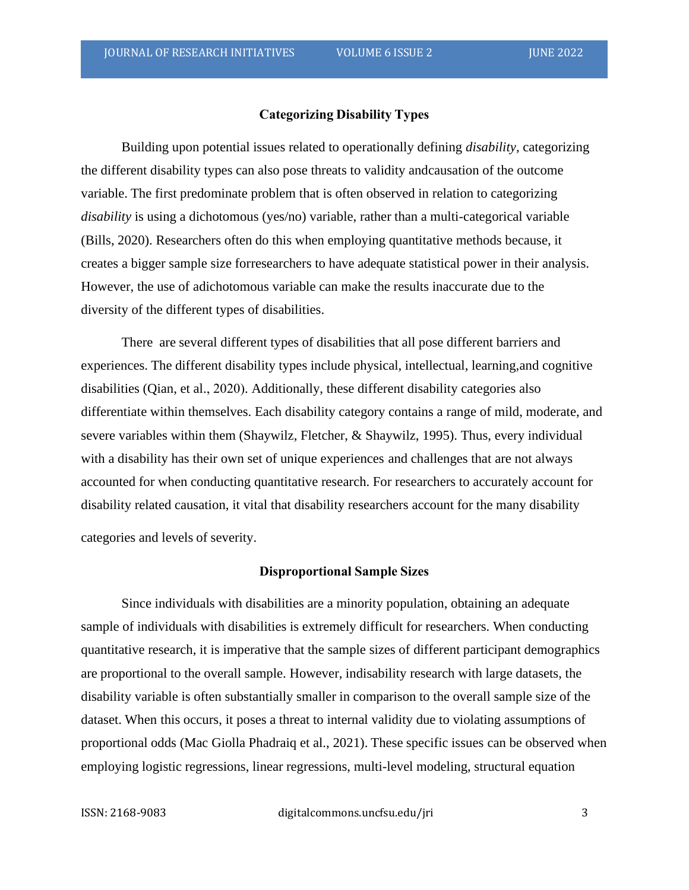# **Categorizing Disability Types**

Building upon potential issues related to operationally defining *disability*, categorizing the different disability types can also pose threats to validity andcausation of the outcome variable. The first predominate problem that is often observed in relation to categorizing *disability* is using a dichotomous (yes/no) variable, rather than a multi-categorical variable (Bills, 2020). Researchers often do this when employing quantitative methods because, it creates a bigger sample size forresearchers to have adequate statistical power in their analysis. However, the use of adichotomous variable can make the results inaccurate due to the diversity of the different types of disabilities.

There are several different types of disabilities that all pose different barriers and experiences. The different disability types include physical, intellectual, learning,and cognitive disabilities (Qian, et al., 2020). Additionally, these different disability categories also differentiate within themselves. Each disability category contains a range of mild, moderate, and severe variables within them (Shaywilz, Fletcher, & Shaywilz, 1995). Thus, every individual with a disability has their own set of unique experiences and challenges that are not always accounted for when conducting quantitative research. For researchers to accurately account for disability related causation, it vital that disability researchers account for the many disability

categories and levels of severity.

### **Disproportional Sample Sizes**

Since individuals with disabilities are a minority population, obtaining an adequate sample of individuals with disabilities is extremely difficult for researchers. When conducting quantitative research, it is imperative that the sample sizes of different participant demographics are proportional to the overall sample. However, indisability research with large datasets, the disability variable is often substantially smaller in comparison to the overall sample size of the dataset. When this occurs, it poses a threat to internal validity due to violating assumptions of proportional odds (Mac Giolla Phadraiq et al., 2021). These specific issues can be observed when employing logistic regressions, linear regressions, multi-level modeling, structural equation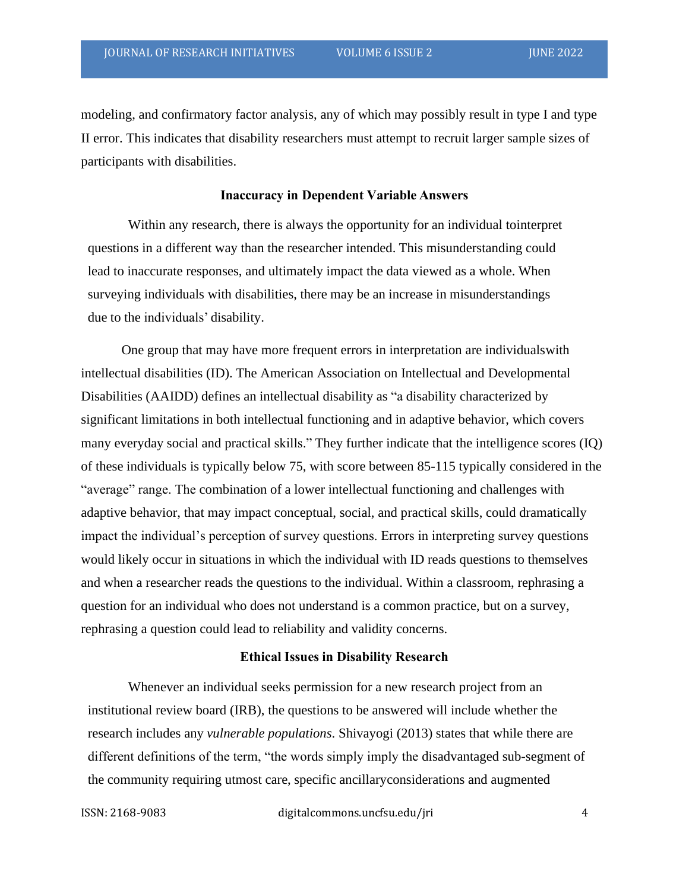modeling, and confirmatory factor analysis, any of which may possibly result in type I and type II error. This indicates that disability researchers must attempt to recruit larger sample sizes of participants with disabilities.

#### **Inaccuracy in Dependent Variable Answers**

Within any research, there is always the opportunity for an individual tointerpret questions in a different way than the researcher intended. This misunderstanding could lead to inaccurate responses, and ultimately impact the data viewed as a whole. When surveying individuals with disabilities, there may be an increase in misunderstandings due to the individuals' disability.

One group that may have more frequent errors in interpretation are individualswith intellectual disabilities (ID). The American Association on Intellectual and Developmental Disabilities (AAIDD) defines an intellectual disability as "a disability characterized by significant limitations in both intellectual functioning and in adaptive behavior, which covers many everyday social and practical skills." They further indicate that the intelligence scores (IQ) of these individuals is typically below 75, with score between 85-115 typically considered in the "average" range. The combination of a lower intellectual functioning and challenges with adaptive behavior, that may impact conceptual, social, and practical skills, could dramatically impact the individual's perception of survey questions. Errors in interpreting survey questions would likely occur in situations in which the individual with ID reads questions to themselves and when a researcher reads the questions to the individual. Within a classroom, rephrasing a question for an individual who does not understand is a common practice, but on a survey, rephrasing a question could lead to reliability and validity concerns.

### **Ethical Issues in Disability Research**

Whenever an individual seeks permission for a new research project from an institutional review board (IRB), the questions to be answered will include whether the research includes any *vulnerable populations*. Shivayogi (2013) states that while there are different definitions of the term, "the words simply imply the disadvantaged sub-segment of the community requiring utmost care, specific ancillaryconsiderations and augmented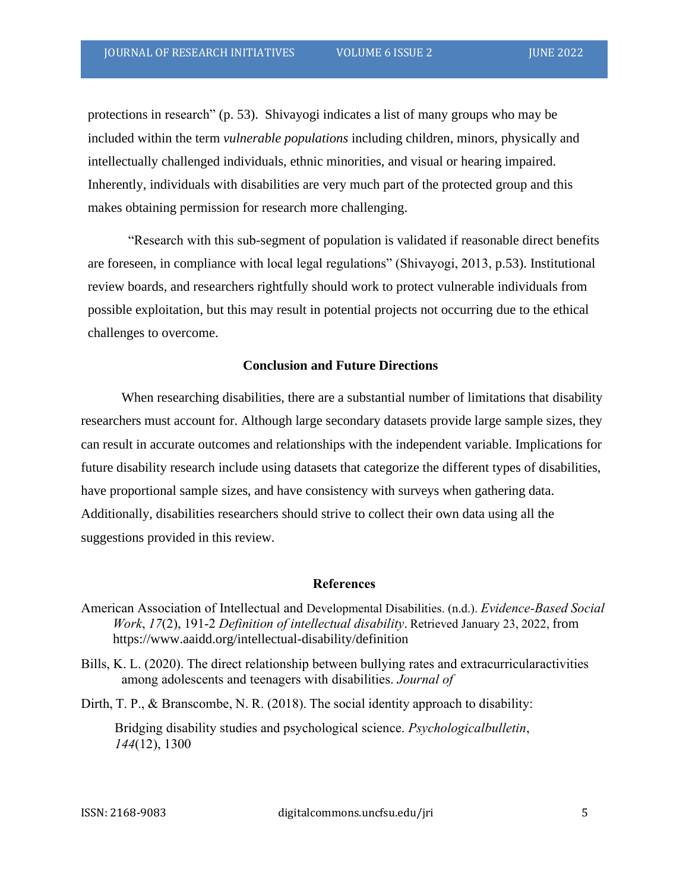protections in research" (p. 53). Shivayogi indicates a list of many groups who may be included within the term *vulnerable populations* including children, minors, physically and intellectually challenged individuals, ethnic minorities, and visual or hearing impaired. Inherently, individuals with disabilities are very much part of the protected group and this makes obtaining permission for research more challenging.

"Research with this sub-segment of population is validated if reasonable direct benefits are foreseen, in compliance with local legal regulations" (Shivayogi, 2013, p.53). Institutional review boards, and researchers rightfully should work to protect vulnerable individuals from possible exploitation, but this may result in potential projects not occurring due to the ethical challenges to overcome.

### **Conclusion and Future Directions**

When researching disabilities, there are a substantial number of limitations that disability researchers must account for. Although large secondary datasets provide large sample sizes, they can result in accurate outcomes and relationships with the independent variable. Implications for future disability research include using datasets that categorize the different types of disabilities, have proportional sample sizes, and have consistency with surveys when gathering data. Additionally, disabilities researchers should strive to collect their own data using all the suggestions provided in this review.

# **References**

- American Association of Intellectual and Developmental Disabilities. (n.d.). *Evidence-Based Social Work*, *17*(2), 191-2 *Definition of intellectual disability*. Retrieved January 23, 2022, from https:[//www.aaidd.org/intellectual-disability/definition](http://www.aaidd.org/intellectual-disability/definition)
- Bills, K. L. (2020). The direct relationship between bullying rates and extracurricularactivities among adolescents and teenagers with disabilities. *Journal of*
- Dirth, T. P., & Branscombe, N. R. (2018). The social identity approach to disability:

Bridging disability studies and psychological science. *Psychologicalbulletin*, *144*(12), 1300